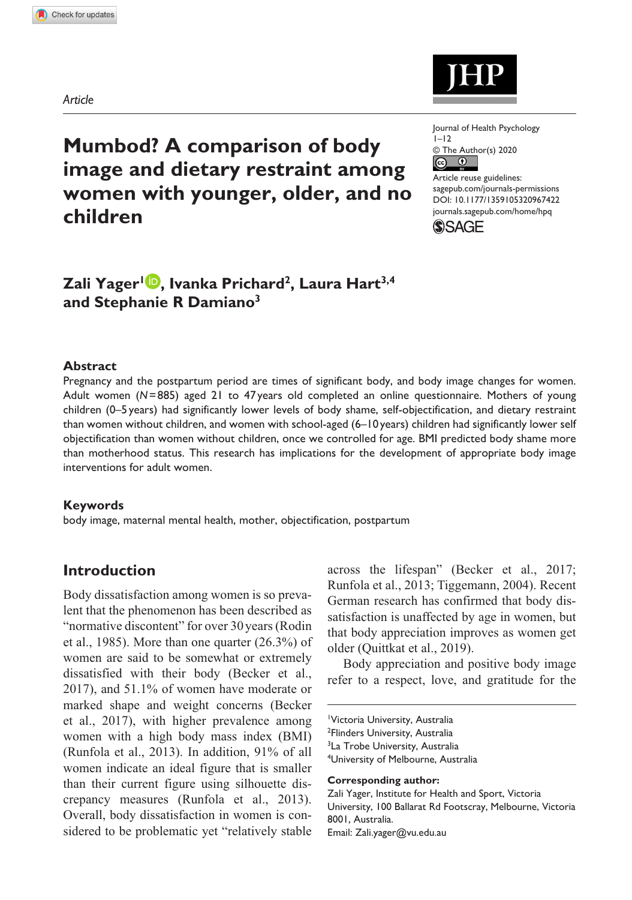*Article*



# **Zali Yager1 , Ivanka Prichard2, Laura Hart3,4 and Stephanie R Damiano3**

#### **Abstract**

Pregnancy and the postpartum period are times of significant body, and body image changes for women. Adult women (*N*=885) aged 21 to 47years old completed an online questionnaire. Mothers of young children (0–5 years) had significantly lower levels of body shame, self-objectification, and dietary restraint than women without children, and women with school-aged (6–10 years) children had significantly lower self objectification than women without children, once we controlled for age. BMI predicted body shame more than motherhood status. This research has implications for the development of appropriate body image interventions for adult women.

#### **Keywords**

body image, maternal mental health, mother, objectification, postpartum

## **Introduction**

Body dissatisfaction among women is so prevalent that the phenomenon has been described as "normative discontent" for over 30years (Rodin et al., 1985). More than one quarter (26.3%) of women are said to be somewhat or extremely dissatisfied with their body (Becker et al., 2017), and 51.1% of women have moderate or marked shape and weight concerns (Becker et al., 2017), with higher prevalence among women with a high body mass index (BMI) (Runfola et al., 2013). In addition, 91% of all women indicate an ideal figure that is smaller than their current figure using silhouette discrepancy measures (Runfola et al., 2013). Overall, body dissatisfaction in women is considered to be problematic yet "relatively stable

across the lifespan" (Becker et al., 2017; Runfola et al., 2013; Tiggemann, 2004). Recent German research has confirmed that body dissatisfaction is unaffected by age in women, but that body appreciation improves as women get older (Quittkat et al., 2019).

Body appreciation and positive body image refer to a respect, love, and gratitude for the

1 Victoria University, Australia <sup>2</sup>Flinders University, Australia <sup>3</sup>La Trobe University, Australia

4 University of Melbourne, Australia

### **Corresponding author:**

Zali Yager, Institute for Health and Sport, Victoria University, 100 Ballarat Rd Footscray, Melbourne, Victoria 8001, Australia. Email: [Zali.yager@vu.edu.au](mailto:Zali.yager@vu.edu.au)



Journal of Health Psychology  $1 - 12$ © The Author(s) 2020  $\odot$  $\left[$ co $\right]$ Article reuse guidelines: [sagepub.com/journals-permissions](https://uk.sagepub.com/en-gb/journals-permissions)

https://doi.org/10.1177/1359105320967422 DOI: 10.1177/1359105320967422 [journals.sagepub.com/home/hpq](https://journals.sagepub.com/home/hpq) **SSAGE**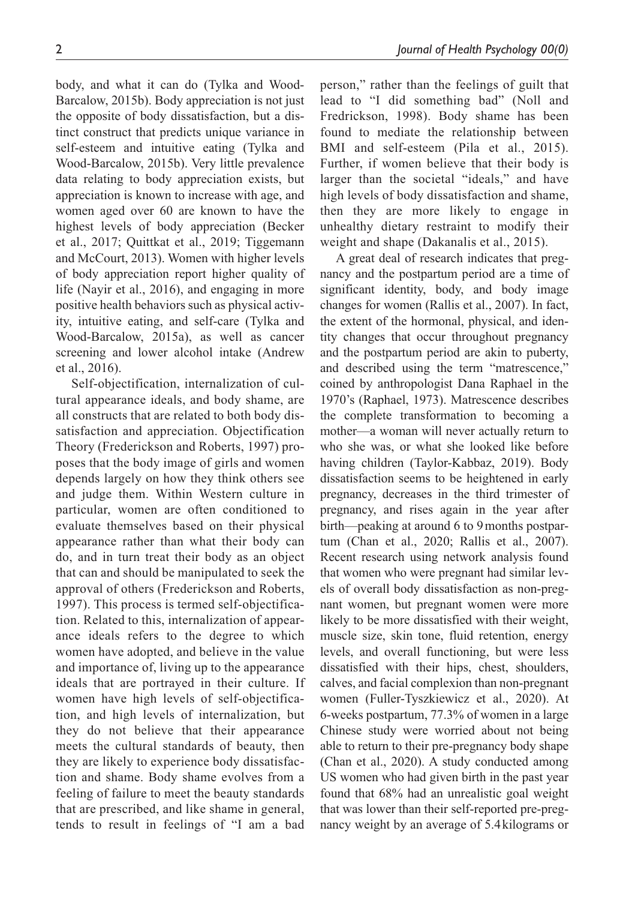body, and what it can do (Tylka and Wood-Barcalow, 2015b). Body appreciation is not just the opposite of body dissatisfaction, but a distinct construct that predicts unique variance in self-esteem and intuitive eating (Tylka and Wood-Barcalow, 2015b). Very little prevalence data relating to body appreciation exists, but appreciation is known to increase with age, and women aged over 60 are known to have the highest levels of body appreciation (Becker et al., 2017; Quittkat et al., 2019; Tiggemann and McCourt, 2013). Women with higher levels of body appreciation report higher quality of life (Nayir et al., 2016), and engaging in more positive health behaviors such as physical activity, intuitive eating, and self-care (Tylka and Wood-Barcalow, 2015a), as well as cancer screening and lower alcohol intake (Andrew et al., 2016).

Self-objectification, internalization of cultural appearance ideals, and body shame, are all constructs that are related to both body dissatisfaction and appreciation. Objectification Theory (Frederickson and Roberts, 1997) proposes that the body image of girls and women depends largely on how they think others see and judge them. Within Western culture in particular, women are often conditioned to evaluate themselves based on their physical appearance rather than what their body can do, and in turn treat their body as an object that can and should be manipulated to seek the approval of others (Frederickson and Roberts, 1997). This process is termed self-objectification. Related to this, internalization of appearance ideals refers to the degree to which women have adopted, and believe in the value and importance of, living up to the appearance ideals that are portrayed in their culture. If women have high levels of self-objectification, and high levels of internalization, but they do not believe that their appearance meets the cultural standards of beauty, then they are likely to experience body dissatisfaction and shame. Body shame evolves from a feeling of failure to meet the beauty standards that are prescribed, and like shame in general, tends to result in feelings of "I am a bad

person," rather than the feelings of guilt that lead to "I did something bad" (Noll and Fredrickson, 1998). Body shame has been found to mediate the relationship between BMI and self-esteem (Pila et al., 2015). Further, if women believe that their body is larger than the societal "ideals," and have high levels of body dissatisfaction and shame, then they are more likely to engage in unhealthy dietary restraint to modify their weight and shape (Dakanalis et al., 2015).

A great deal of research indicates that pregnancy and the postpartum period are a time of significant identity, body, and body image changes for women (Rallis et al., 2007). In fact, the extent of the hormonal, physical, and identity changes that occur throughout pregnancy and the postpartum period are akin to puberty, and described using the term "matrescence," coined by anthropologist Dana Raphael in the 1970's (Raphael, 1973). Matrescence describes the complete transformation to becoming a mother—a woman will never actually return to who she was, or what she looked like before having children (Taylor-Kabbaz, 2019). Body dissatisfaction seems to be heightened in early pregnancy, decreases in the third trimester of pregnancy, and rises again in the year after birth—peaking at around 6 to 9months postpartum (Chan et al., 2020; Rallis et al., 2007). Recent research using network analysis found that women who were pregnant had similar levels of overall body dissatisfaction as non-pregnant women, but pregnant women were more likely to be more dissatisfied with their weight, muscle size, skin tone, fluid retention, energy levels, and overall functioning, but were less dissatisfied with their hips, chest, shoulders, calves, and facial complexion than non-pregnant women (Fuller-Tyszkiewicz et al., 2020). At 6-weeks postpartum, 77.3% of women in a large Chinese study were worried about not being able to return to their pre-pregnancy body shape (Chan et al., 2020). A study conducted among US women who had given birth in the past year found that 68% had an unrealistic goal weight that was lower than their self-reported pre-pregnancy weight by an average of 5.4kilograms or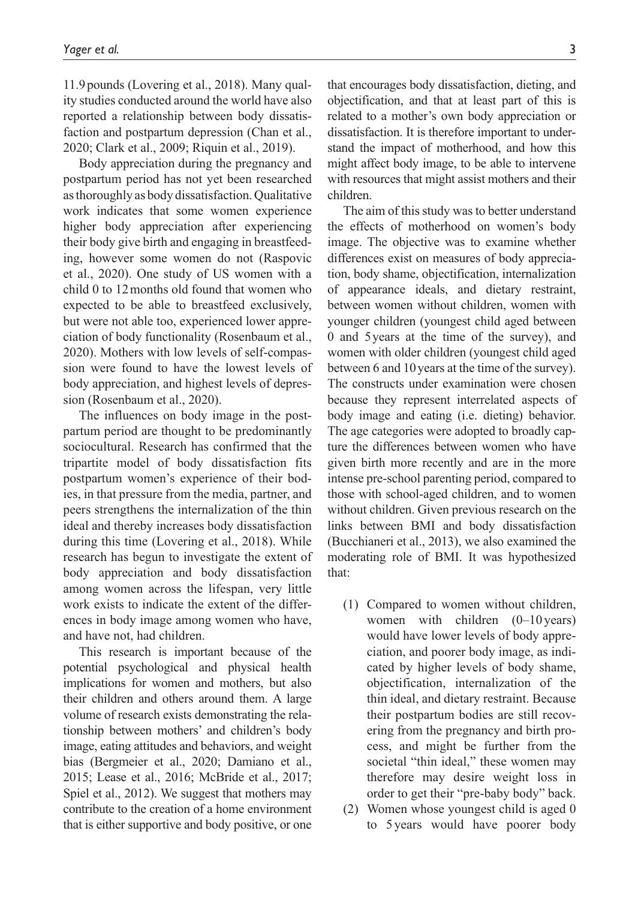11.9pounds (Lovering et al., 2018). Many quality studies conducted around the world have also reported a relationship between body dissatisfaction and postpartum depression (Chan et al., 2020; Clark et al., 2009; Riquin et al., 2019).

Body appreciation during the pregnancy and postpartum period has not yet been researched as thoroughly as body dissatisfaction. Qualitative work indicates that some women experience higher body appreciation after experiencing their body give birth and engaging in breastfeeding, however some women do not (Raspovic et al., 2020). One study of US women with a child 0 to 12months old found that women who expected to be able to breastfeed exclusively, but were not able too, experienced lower appreciation of body functionality (Rosenbaum et al., 2020). Mothers with low levels of self-compassion were found to have the lowest levels of body appreciation, and highest levels of depression (Rosenbaum et al., 2020).

The influences on body image in the postpartum period are thought to be predominantly sociocultural. Research has confirmed that the tripartite model of body dissatisfaction fits postpartum women's experience of their bodies, in that pressure from the media, partner, and peers strengthens the internalization of the thin ideal and thereby increases body dissatisfaction during this time (Lovering et al., 2018). While research has begun to investigate the extent of body appreciation and body dissatisfaction among women across the lifespan, very little work exists to indicate the extent of the differences in body image among women who have, and have not, had children.

This research is important because of the potential psychological and physical health implications for women and mothers, but also their children and others around them. A large volume of research exists demonstrating the relationship between mothers' and children's body image, eating attitudes and behaviors, and weight bias (Bergmeier et al., 2020; Damiano et al., 2015; Lease et al., 2016; McBride et al., 2017; Spiel et al., 2012). We suggest that mothers may contribute to the creation of a home environment that is either supportive and body positive, or one that encourages body dissatisfaction, dieting, and objectification, and that at least part of this is related to a mother's own body appreciation or dissatisfaction. It is therefore important to understand the impact of motherhood, and how this might affect body image, to be able to intervene with resources that might assist mothers and their children.

The aim of this study was to better understand the effects of motherhood on women's body image. The objective was to examine whether differences exist on measures of body appreciation, body shame, objectification, internalization of appearance ideals, and dietary restraint, between women without children, women with younger children (youngest child aged between 0 and 5years at the time of the survey), and women with older children (youngest child aged between 6 and 10years at the time of the survey). The constructs under examination were chosen because they represent interrelated aspects of body image and eating (i.e. dieting) behavior. The age categories were adopted to broadly capture the differences between women who have given birth more recently and are in the more intense pre-school parenting period, compared to those with school-aged children, and to women without children. Given previous research on the links between BMI and body dissatisfaction (Bucchianeri et al., 2013), we also examined the moderating role of BMI. It was hypothesized that:

- (1) Compared to women without children, women with children (0–10years) would have lower levels of body appreciation, and poorer body image, as indicated by higher levels of body shame, objectification, internalization of the thin ideal, and dietary restraint. Because their postpartum bodies are still recovering from the pregnancy and birth process, and might be further from the societal "thin ideal," these women may therefore may desire weight loss in order to get their "pre-baby body" back.
- (2) Women whose youngest child is aged 0 to 5 years would have poorer body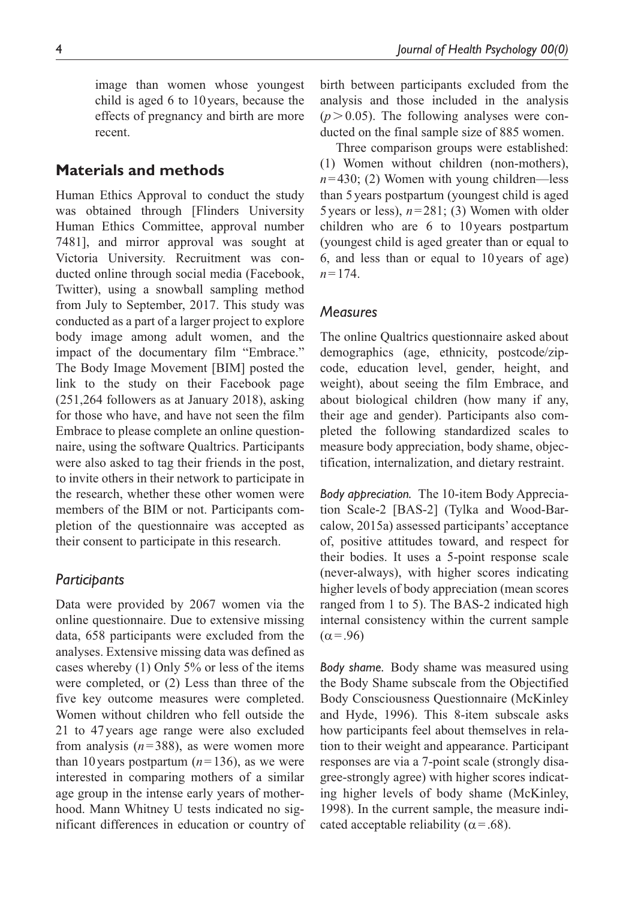image than women whose youngest child is aged 6 to 10years, because the effects of pregnancy and birth are more recent.

### **Materials and methods**

Human Ethics Approval to conduct the study was obtained through [Flinders University Human Ethics Committee, approval number 7481], and mirror approval was sought at Victoria University. Recruitment was conducted online through social media (Facebook, Twitter), using a snowball sampling method from July to September, 2017. This study was conducted as a part of a larger project to explore body image among adult women, and the impact of the documentary film "Embrace." The Body Image Movement [BIM] posted the link to the study on their Facebook page (251,264 followers as at January 2018), asking for those who have, and have not seen the film Embrace to please complete an online questionnaire, using the software Qualtrics. Participants were also asked to tag their friends in the post, to invite others in their network to participate in the research, whether these other women were members of the BIM or not. Participants completion of the questionnaire was accepted as their consent to participate in this research.

### *Participants*

Data were provided by 2067 women via the online questionnaire. Due to extensive missing data, 658 participants were excluded from the analyses. Extensive missing data was defined as cases whereby (1) Only 5% or less of the items were completed, or (2) Less than three of the five key outcome measures were completed. Women without children who fell outside the 21 to 47 years age range were also excluded from analysis (*n*=388), as were women more than 10 years postpartum  $(n=136)$ , as we were interested in comparing mothers of a similar age group in the intense early years of motherhood. Mann Whitney U tests indicated no significant differences in education or country of birth between participants excluded from the analysis and those included in the analysis  $(p > 0.05)$ . The following analyses were conducted on the final sample size of 885 women.

Three comparison groups were established: (1) Women without children (non-mothers),  $n=430$ ; (2) Women with young children—less than 5 years postpartum (youngest child is aged 5 years or less),  $n=281$ ; (3) Women with older children who are 6 to 10 years postpartum (youngest child is aged greater than or equal to 6, and less than or equal to 10years of age)  $n = 174$ .

### *Measures*

The online Qualtrics questionnaire asked about demographics (age, ethnicity, postcode/zipcode, education level, gender, height, and weight), about seeing the film Embrace, and about biological children (how many if any, their age and gender). Participants also completed the following standardized scales to measure body appreciation, body shame, objectification, internalization, and dietary restraint.

*Body appreciation.* The 10-item Body Appreciation Scale-2 [BAS-2] (Tylka and Wood-Barcalow, 2015a) assessed participants' acceptance of, positive attitudes toward, and respect for their bodies. It uses a 5-point response scale (never-always), with higher scores indicating higher levels of body appreciation (mean scores ranged from 1 to 5). The BAS-2 indicated high internal consistency within the current sample  $(\alpha = .96)$ 

*Body shame.* Body shame was measured using the Body Shame subscale from the Objectified Body Consciousness Questionnaire (McKinley and Hyde, 1996). This 8-item subscale asks how participants feel about themselves in relation to their weight and appearance. Participant responses are via a 7-point scale (strongly disagree-strongly agree) with higher scores indicating higher levels of body shame (McKinley, 1998). In the current sample, the measure indicated acceptable reliability ( $\alpha$ =.68).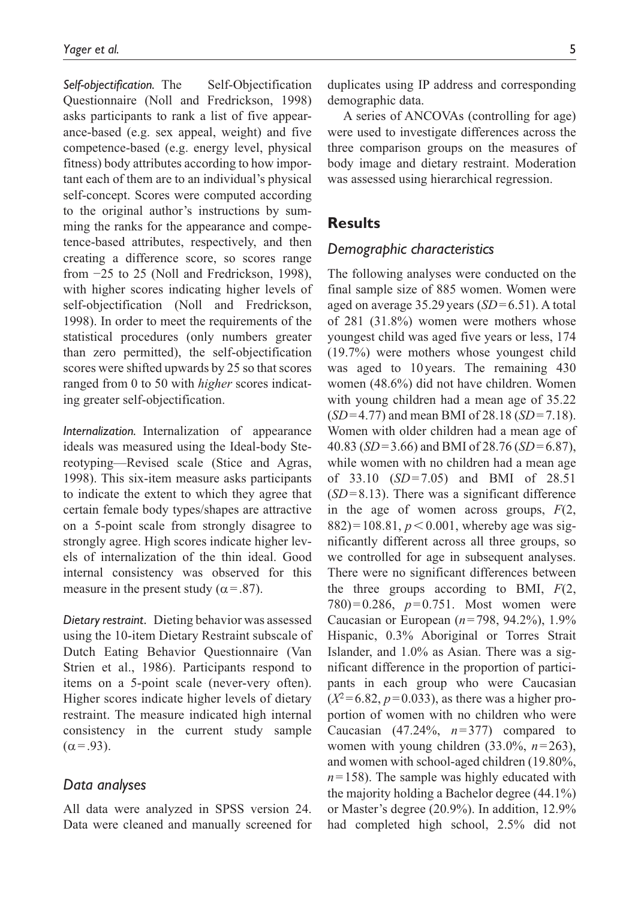*Self-objectification.* The Self-Objectification Questionnaire (Noll and Fredrickson, 1998) asks participants to rank a list of five appearance-based (e.g. sex appeal, weight) and five competence-based (e.g. energy level, physical fitness) body attributes according to how important each of them are to an individual's physical self-concept. Scores were computed according to the original author's instructions by summing the ranks for the appearance and competence-based attributes, respectively, and then creating a difference score, so scores range from −25 to 25 (Noll and Fredrickson, 1998), with higher scores indicating higher levels of self-objectification (Noll and Fredrickson, 1998). In order to meet the requirements of the statistical procedures (only numbers greater than zero permitted), the self-objectification scores were shifted upwards by 25 so that scores ranged from 0 to 50 with *higher* scores indicating greater self-objectification.

*Internalization.* Internalization of appearance ideals was measured using the Ideal-body Stereotyping—Revised scale (Stice and Agras, 1998). This six-item measure asks participants to indicate the extent to which they agree that certain female body types/shapes are attractive on a 5-point scale from strongly disagree to strongly agree. High scores indicate higher levels of internalization of the thin ideal. Good internal consistency was observed for this measure in the present study ( $\alpha$ =.87).

*Dietary restraint.* Dieting behavior was assessed using the 10-item Dietary Restraint subscale of Dutch Eating Behavior Questionnaire (Van Strien et al., 1986). Participants respond to items on a 5-point scale (never-very often). Higher scores indicate higher levels of dietary restraint. The measure indicated high internal consistency in the current study sample  $(\alpha = .93)$ .

### *Data analyses*

All data were analyzed in SPSS version 24. Data were cleaned and manually screened for duplicates using IP address and corresponding demographic data.

A series of ANCOVAs (controlling for age) were used to investigate differences across the three comparison groups on the measures of body image and dietary restraint. Moderation was assessed using hierarchical regression.

# **Results**

### *Demographic characteristics*

The following analyses were conducted on the final sample size of 885 women. Women were aged on average 35.29years (*SD*=6.51). A total of 281 (31.8%) women were mothers whose youngest child was aged five years or less, 174 (19.7%) were mothers whose youngest child was aged to 10 years. The remaining 430 women (48.6%) did not have children. Women with young children had a mean age of 35.22 (*SD*=4.77) and mean BMI of 28.18 (*SD*=7.18). Women with older children had a mean age of 40.83 (*SD*=3.66) and BMI of 28.76 (*SD*=6.87), while women with no children had a mean age of 33.10 (*SD*=7.05) and BMI of 28.51 (*SD*=8.13). There was a significant difference in the age of women across groups, *F*(2, 882)=108.81,  $p < 0.001$ , whereby age was significantly different across all three groups, so we controlled for age in subsequent analyses. There were no significant differences between the three groups according to BMI, *F*(2, 780)=0.286, *p*=0.751. Most women were Caucasian or European (*n*=798, 94.2%), 1.9% Hispanic, 0.3% Aboriginal or Torres Strait Islander, and 1.0% as Asian. There was a significant difference in the proportion of participants in each group who were Caucasian  $(X^2=6.82, p=0.033)$ , as there was a higher proportion of women with no children who were Caucasian  $(47.24\%, n=377)$  compared to women with young children (33.0%, *n*=263), and women with school-aged children (19.80%,  $n=158$ ). The sample was highly educated with the majority holding a Bachelor degree (44.1%) or Master's degree (20.9%). In addition, 12.9% had completed high school, 2.5% did not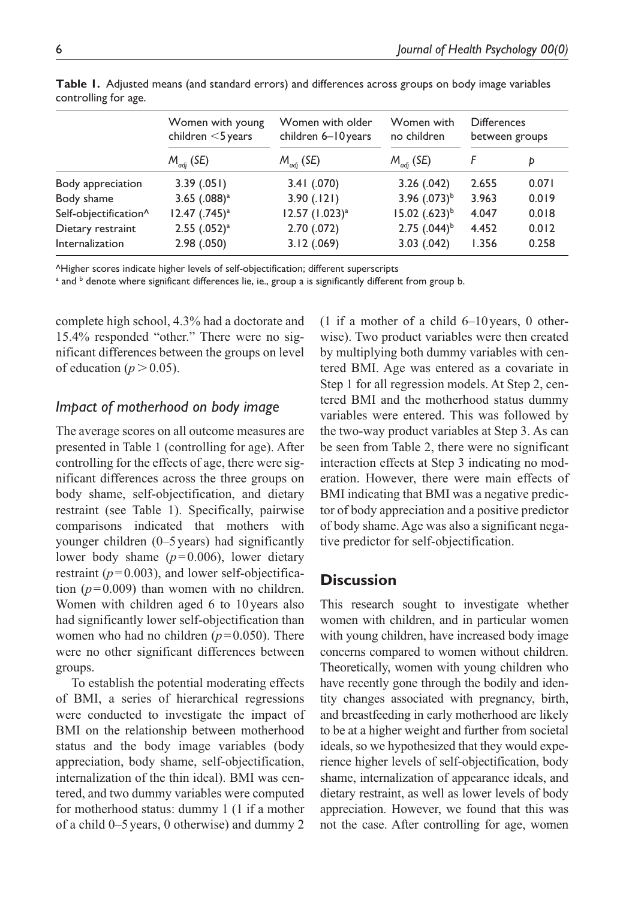|                       | Women with young<br>children $<$ 5 years | Women with older<br>children 6-10 years | Women with<br>no children | <b>Differences</b><br>between groups |       |
|-----------------------|------------------------------------------|-----------------------------------------|---------------------------|--------------------------------------|-------|
|                       | $M_{adj}$ (SE)                           | $M_{adi}$ (SE)                          | $M_{\text{adi}}$ (SE)     | F                                    | Þ     |
| Body appreciation     | 3.39(.051)                               | 3.41(.070)                              | 3.26(.042)                | 2.655                                | 0.071 |
| Body shame            | 3.65 $(.088)^a$                          | 3.90(.121)                              | 3.96 $(.073)^{b}$         | 3.963                                | 0.019 |
| Self-objectification^ | $12.47$ $(.745)^a$                       | $12.57$ $(1.023)^a$                     | $15.02$ $(.623)^{b}$      | 4.047                                | 0.018 |
| Dietary restraint     | $2.55$ $(.052)^a$                        | 2.70(.072)                              | $2.75$ $(.044)^{b}$       | 4.452                                | 0.012 |
| Internalization       | 2.98(.050)                               | 3.12(.069)                              | 3.03(.042)                | 1.356                                | 0.258 |

**Table 1.** Adjusted means (and standard errors) and differences across groups on body image variables controlling for age.

^Higher scores indicate higher levels of self-objectification; different superscripts

a and <sup>b</sup> denote where significant differences lie, ie., group a is significantly different from group b.

complete high school, 4.3% had a doctorate and 15.4% responded "other." There were no significant differences between the groups on level of education ( $p > 0.05$ ).

### *Impact of motherhood on body image*

The average scores on all outcome measures are presented in Table 1 (controlling for age). After controlling for the effects of age, there were significant differences across the three groups on body shame, self-objectification, and dietary restraint (see Table 1). Specifically, pairwise comparisons indicated that mothers with younger children (0–5years) had significantly lower body shame (*p*=0.006), lower dietary restraint  $(p=0.003)$ , and lower self-objectification  $(p=0.009)$  than women with no children. Women with children aged 6 to 10years also had significantly lower self-objectification than women who had no children  $(p=0.050)$ . There were no other significant differences between groups.

To establish the potential moderating effects of BMI, a series of hierarchical regressions were conducted to investigate the impact of BMI on the relationship between motherhood status and the body image variables (body appreciation, body shame, self-objectification, internalization of the thin ideal). BMI was centered, and two dummy variables were computed for motherhood status: dummy 1 (1 if a mother of a child 0–5years, 0 otherwise) and dummy 2  $(1 \text{ if a mother of a child } 6-10 \text{ years}, 0 \text{ other--}$ wise). Two product variables were then created by multiplying both dummy variables with centered BMI. Age was entered as a covariate in Step 1 for all regression models. At Step 2, centered BMI and the motherhood status dummy variables were entered. This was followed by the two-way product variables at Step 3. As can be seen from Table 2, there were no significant interaction effects at Step 3 indicating no moderation. However, there were main effects of BMI indicating that BMI was a negative predictor of body appreciation and a positive predictor of body shame. Age was also a significant negative predictor for self-objectification.

# **Discussion**

This research sought to investigate whether women with children, and in particular women with young children, have increased body image concerns compared to women without children. Theoretically, women with young children who have recently gone through the bodily and identity changes associated with pregnancy, birth, and breastfeeding in early motherhood are likely to be at a higher weight and further from societal ideals, so we hypothesized that they would experience higher levels of self-objectification, body shame, internalization of appearance ideals, and dietary restraint, as well as lower levels of body appreciation. However, we found that this was not the case. After controlling for age, women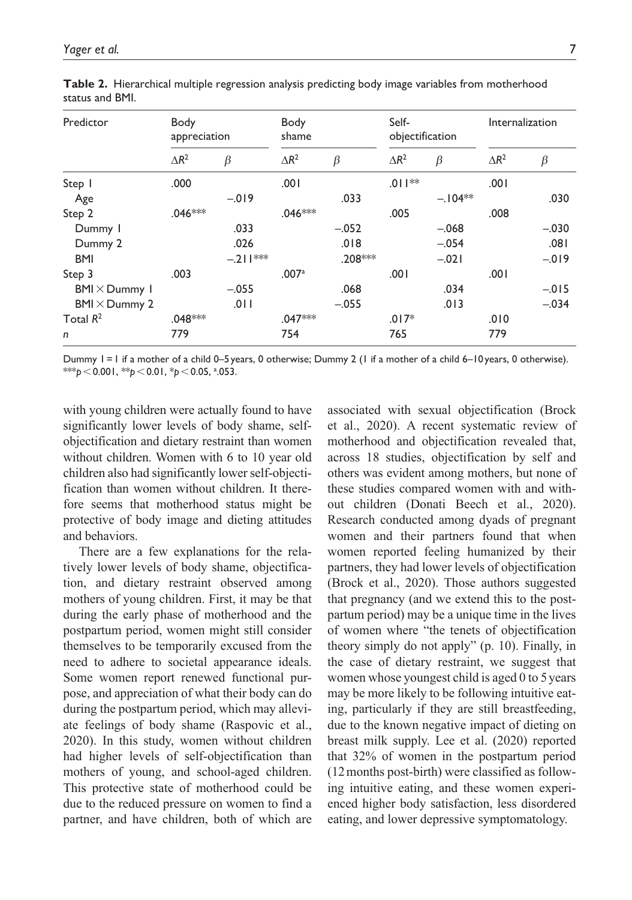| Predictor           | Body<br>appreciation |             | Body<br>shame |           | Self-<br>objectification |           | Internalization |         |
|---------------------|----------------------|-------------|---------------|-----------|--------------------------|-----------|-----------------|---------|
|                     | $\Delta R^2$         | $\beta$     | $AR^2$        | $\beta$   | $\Lambda$ R <sup>2</sup> | $\beta$   | $\Delta R^2$    | β       |
| Step I              | .000                 |             | .001          |           | $.011**$                 |           | .001            |         |
| Age                 |                      | $-019$      |               | .033      |                          | $-.104**$ |                 | .030    |
| Step 2              | $.046***$            |             | $.046***$     |           | .005                     |           | .008            |         |
| Dummy I             |                      | .033        |               | $-.052$   |                          | $-.068$   |                 | $-.030$ |
| Dummy 2             |                      | .026        |               | .018      |                          | $-.054$   |                 | .081    |
| <b>BMI</b>          |                      | $-.211$ *** |               | $.208***$ |                          | $-.021$   |                 | $-019$  |
| Step 3              | .003                 |             | .007a         |           | .001                     |           | .001            |         |
| $BMI \times Dummyl$ |                      | $-.055$     |               | .068      |                          | .034      |                 | $-015$  |
| BMI × Dummy 2       |                      | .011        |               | $-.055$   |                          | .013      |                 | $-.034$ |
| Total $R^2$         | $.048***$            |             | $.047***$     |           | $.017*$                  |           | .010            |         |
| n                   | 779                  |             | 754           |           | 765                      |           | 779             |         |

**Table 2.** Hierarchical multiple regression analysis predicting body image variables from motherhood status and BMI.

Dummy 1=1 if a mother of a child 0–5years, 0 otherwise; Dummy 2 (1 if a mother of a child 6–10years, 0 otherwise). \*\*\**p*<0.001, \*\**p*<0.01, \**p*<0.05, a .053.

with young children were actually found to have significantly lower levels of body shame, selfobjectification and dietary restraint than women without children. Women with 6 to 10 year old children also had significantly lower self-objectification than women without children. It therefore seems that motherhood status might be protective of body image and dieting attitudes and behaviors.

There are a few explanations for the relatively lower levels of body shame, objectification, and dietary restraint observed among mothers of young children. First, it may be that during the early phase of motherhood and the postpartum period, women might still consider themselves to be temporarily excused from the need to adhere to societal appearance ideals. Some women report renewed functional purpose, and appreciation of what their body can do during the postpartum period, which may alleviate feelings of body shame (Raspovic et al., 2020). In this study, women without children had higher levels of self-objectification than mothers of young, and school-aged children. This protective state of motherhood could be due to the reduced pressure on women to find a partner, and have children, both of which are

associated with sexual objectification (Brock et al., 2020). A recent systematic review of motherhood and objectification revealed that, across 18 studies, objectification by self and others was evident among mothers, but none of these studies compared women with and without children (Donati Beech et al., 2020). Research conducted among dyads of pregnant women and their partners found that when women reported feeling humanized by their partners, they had lower levels of objectification (Brock et al., 2020). Those authors suggested that pregnancy (and we extend this to the postpartum period) may be a unique time in the lives of women where "the tenets of objectification theory simply do not apply" (p. 10). Finally, in the case of dietary restraint, we suggest that women whose youngest child is aged 0 to 5years may be more likely to be following intuitive eating, particularly if they are still breastfeeding, due to the known negative impact of dieting on breast milk supply. Lee et al. (2020) reported that 32% of women in the postpartum period (12months post-birth) were classified as following intuitive eating, and these women experienced higher body satisfaction, less disordered eating, and lower depressive symptomatology.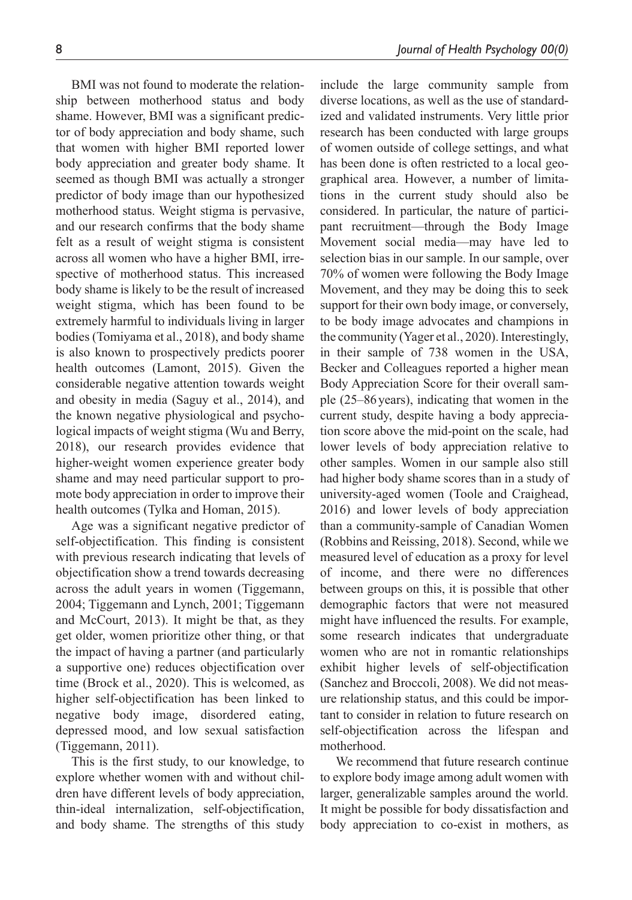BMI was not found to moderate the relationship between motherhood status and body shame. However, BMI was a significant predictor of body appreciation and body shame, such that women with higher BMI reported lower body appreciation and greater body shame. It seemed as though BMI was actually a stronger predictor of body image than our hypothesized motherhood status. Weight stigma is pervasive, and our research confirms that the body shame felt as a result of weight stigma is consistent across all women who have a higher BMI, irrespective of motherhood status. This increased body shame is likely to be the result of increased weight stigma, which has been found to be extremely harmful to individuals living in larger bodies (Tomiyama et al., 2018), and body shame is also known to prospectively predicts poorer health outcomes (Lamont, 2015). Given the considerable negative attention towards weight and obesity in media (Saguy et al., 2014), and the known negative physiological and psychological impacts of weight stigma (Wu and Berry, 2018), our research provides evidence that higher-weight women experience greater body shame and may need particular support to promote body appreciation in order to improve their health outcomes (Tylka and Homan, 2015).

Age was a significant negative predictor of self-objectification. This finding is consistent with previous research indicating that levels of objectification show a trend towards decreasing across the adult years in women (Tiggemann, 2004; Tiggemann and Lynch, 2001; Tiggemann and McCourt, 2013). It might be that, as they get older, women prioritize other thing, or that the impact of having a partner (and particularly a supportive one) reduces objectification over time (Brock et al., 2020). This is welcomed, as higher self-objectification has been linked to negative body image, disordered eating, depressed mood, and low sexual satisfaction (Tiggemann, 2011).

This is the first study, to our knowledge, to explore whether women with and without children have different levels of body appreciation, thin-ideal internalization, self-objectification, and body shame. The strengths of this study

include the large community sample from diverse locations, as well as the use of standardized and validated instruments. Very little prior research has been conducted with large groups of women outside of college settings, and what has been done is often restricted to a local geographical area. However, a number of limitations in the current study should also be considered. In particular, the nature of participant recruitment—through the Body Image Movement social media—may have led to selection bias in our sample. In our sample, over 70% of women were following the Body Image Movement, and they may be doing this to seek support for their own body image, or conversely, to be body image advocates and champions in the community (Yager et al., 2020). Interestingly, in their sample of 738 women in the USA, Becker and Colleagues reported a higher mean Body Appreciation Score for their overall sample (25–86years), indicating that women in the current study, despite having a body appreciation score above the mid-point on the scale, had lower levels of body appreciation relative to other samples. Women in our sample also still had higher body shame scores than in a study of university-aged women (Toole and Craighead, 2016) and lower levels of body appreciation than a community-sample of Canadian Women (Robbins and Reissing, 2018). Second, while we measured level of education as a proxy for level of income, and there were no differences between groups on this, it is possible that other demographic factors that were not measured might have influenced the results. For example, some research indicates that undergraduate women who are not in romantic relationships exhibit higher levels of self-objectification (Sanchez and Broccoli, 2008). We did not measure relationship status, and this could be important to consider in relation to future research on self-objectification across the lifespan and motherhood.

We recommend that future research continue to explore body image among adult women with larger, generalizable samples around the world. It might be possible for body dissatisfaction and body appreciation to co-exist in mothers, as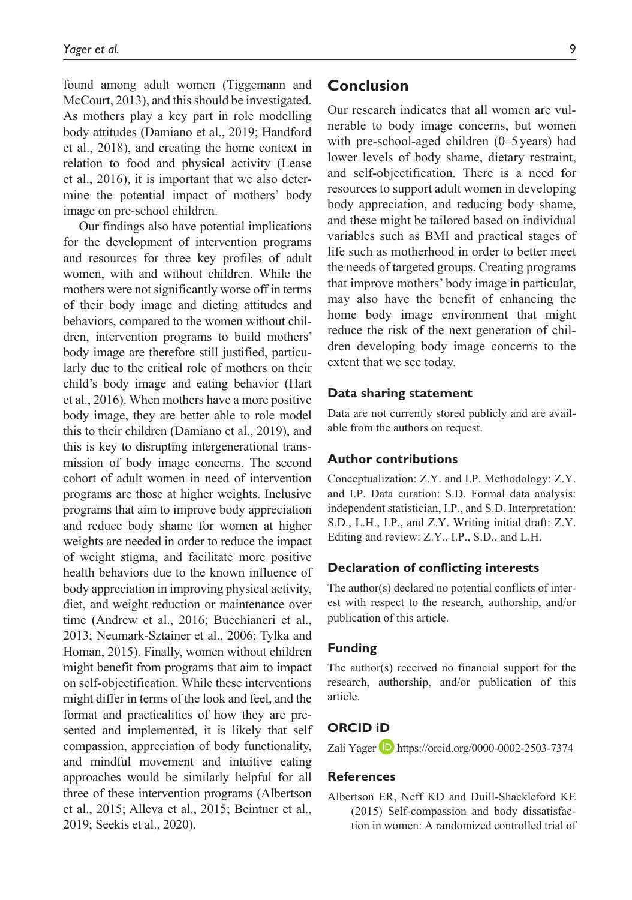found among adult women (Tiggemann and McCourt, 2013), and this should be investigated. As mothers play a key part in role modelling body attitudes (Damiano et al., 2019; Handford et al., 2018), and creating the home context in relation to food and physical activity (Lease et al., 2016), it is important that we also determine the potential impact of mothers' body image on pre-school children.

Our findings also have potential implications for the development of intervention programs and resources for three key profiles of adult women, with and without children. While the mothers were not significantly worse off in terms of their body image and dieting attitudes and behaviors, compared to the women without children, intervention programs to build mothers' body image are therefore still justified, particularly due to the critical role of mothers on their child's body image and eating behavior (Hart et al., 2016). When mothers have a more positive body image, they are better able to role model this to their children (Damiano et al., 2019), and this is key to disrupting intergenerational transmission of body image concerns. The second cohort of adult women in need of intervention programs are those at higher weights. Inclusive programs that aim to improve body appreciation and reduce body shame for women at higher weights are needed in order to reduce the impact of weight stigma, and facilitate more positive health behaviors due to the known influence of body appreciation in improving physical activity, diet, and weight reduction or maintenance over time (Andrew et al., 2016; Bucchianeri et al., 2013; Neumark-Sztainer et al., 2006; Tylka and Homan, 2015). Finally, women without children might benefit from programs that aim to impact on self-objectification. While these interventions might differ in terms of the look and feel, and the format and practicalities of how they are presented and implemented, it is likely that self compassion, appreciation of body functionality, and mindful movement and intuitive eating approaches would be similarly helpful for all three of these intervention programs (Albertson et al., 2015; Alleva et al., 2015; Beintner et al., 2019; Seekis et al., 2020).

# **Conclusion**

Our research indicates that all women are vulnerable to body image concerns, but women with pre-school-aged children (0–5 years) had lower levels of body shame, dietary restraint, and self-objectification. There is a need for resources to support adult women in developing body appreciation, and reducing body shame, and these might be tailored based on individual variables such as BMI and practical stages of life such as motherhood in order to better meet the needs of targeted groups. Creating programs that improve mothers' body image in particular, may also have the benefit of enhancing the home body image environment that might reduce the risk of the next generation of children developing body image concerns to the extent that we see today.

### **Data sharing statement**

Data are not currently stored publicly and are available from the authors on request.

#### **Author contributions**

Conceptualization: Z.Y. and I.P. Methodology: Z.Y. and I.P. Data curation: S.D. Formal data analysis: independent statistician, I.P., and S.D. Interpretation: S.D., L.H., I.P., and Z.Y. Writing initial draft: Z.Y. Editing and review: Z.Y., I.P., S.D., and L.H.

### **Declaration of conflicting interests**

The author(s) declared no potential conflicts of interest with respect to the research, authorship, and/or publication of this article.

#### **Funding**

The author(s) received no financial support for the research, authorship, and/or publication of this article.

### **ORCID iD**

Zali Yager **b** <https://orcid.org/0000-0002-2503-7374>

#### **References**

Albertson ER, Neff KD and Duill-Shackleford KE (2015) Self-compassion and body dissatisfaction in women: A randomized controlled trial of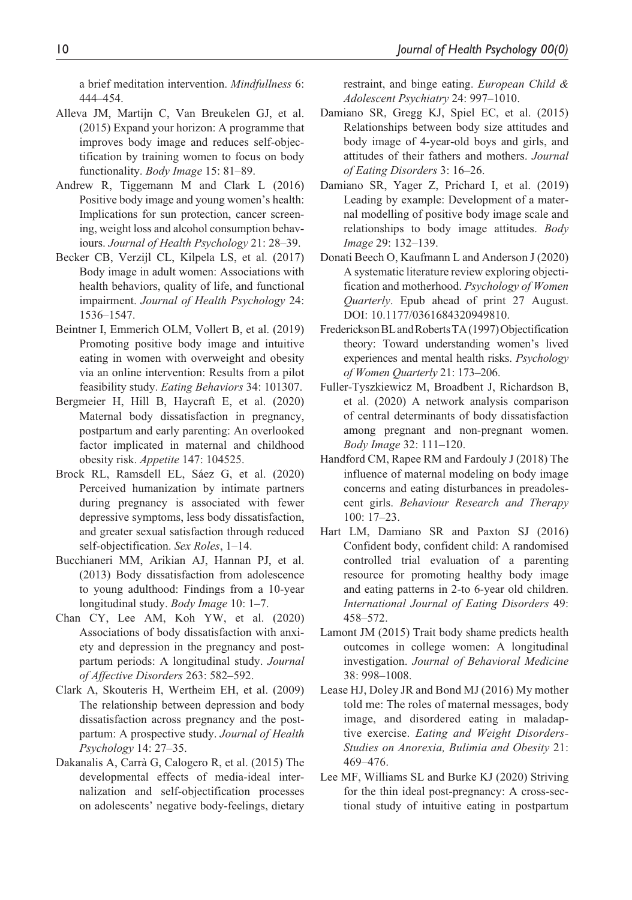a brief meditation intervention. *Mindfullness* 6: 444–454.

- Alleva JM, Martijn C, Van Breukelen GJ, et al. (2015) Expand your horizon: A programme that improves body image and reduces self-objectification by training women to focus on body functionality. *Body Image* 15: 81–89.
- Andrew R, Tiggemann M and Clark L (2016) Positive body image and young women's health: Implications for sun protection, cancer screening, weight loss and alcohol consumption behaviours. *Journal of Health Psychology* 21: 28–39.
- Becker CB, Verzijl CL, Kilpela LS, et al. (2017) Body image in adult women: Associations with health behaviors, quality of life, and functional impairment. *Journal of Health Psychology* 24: 1536–1547.
- Beintner I, Emmerich OLM, Vollert B, et al. (2019) Promoting positive body image and intuitive eating in women with overweight and obesity via an online intervention: Results from a pilot feasibility study. *Eating Behaviors* 34: 101307.
- Bergmeier H, Hill B, Haycraft E, et al. (2020) Maternal body dissatisfaction in pregnancy, postpartum and early parenting: An overlooked factor implicated in maternal and childhood obesity risk. *Appetite* 147: 104525.
- Brock RL, Ramsdell EL, Sáez G, et al. (2020) Perceived humanization by intimate partners during pregnancy is associated with fewer depressive symptoms, less body dissatisfaction, and greater sexual satisfaction through reduced self-objectification. *Sex Roles*, 1–14.
- Bucchianeri MM, Arikian AJ, Hannan PJ, et al. (2013) Body dissatisfaction from adolescence to young adulthood: Findings from a 10-year longitudinal study. *Body Image* 10: 1–7.
- Chan CY, Lee AM, Koh YW, et al. (2020) Associations of body dissatisfaction with anxiety and depression in the pregnancy and postpartum periods: A longitudinal study. *Journal of Affective Disorders* 263: 582–592.
- Clark A, Skouteris H, Wertheim EH, et al. (2009) The relationship between depression and body dissatisfaction across pregnancy and the postpartum: A prospective study. *Journal of Health Psychology* 14: 27–35.
- Dakanalis A, Carrà G, Calogero R, et al. (2015) The developmental effects of media-ideal internalization and self-objectification processes on adolescents' negative body-feelings, dietary

restraint, and binge eating. *European Child & Adolescent Psychiatry* 24: 997–1010.

- Damiano SR, Gregg KJ, Spiel EC, et al. (2015) Relationships between body size attitudes and body image of 4-year-old boys and girls, and attitudes of their fathers and mothers. *Journal of Eating Disorders* 3: 16–26.
- Damiano SR, Yager Z, Prichard I, et al. (2019) Leading by example: Development of a maternal modelling of positive body image scale and relationships to body image attitudes. *Body Image* 29: 132–139.
- Donati Beech O, Kaufmann L and Anderson J (2020) A systematic literature review exploring objectification and motherhood. *Psychology of Women Quarterly*. Epub ahead of print 27 August. DOI: 10.1177/0361684320949810.
- Frederickson BL and Roberts TA (1997) Objectification theory: Toward understanding women's lived experiences and mental health risks. *Psychology of Women Quarterly* 21: 173–206.
- Fuller-Tyszkiewicz M, Broadbent J, Richardson B, et al. (2020) A network analysis comparison of central determinants of body dissatisfaction among pregnant and non-pregnant women. *Body Image* 32: 111–120.
- Handford CM, Rapee RM and Fardouly J (2018) The influence of maternal modeling on body image concerns and eating disturbances in preadolescent girls. *Behaviour Research and Therapy* 100: 17–23.
- Hart LM, Damiano SR and Paxton SJ (2016) Confident body, confident child: A randomised controlled trial evaluation of a parenting resource for promoting healthy body image and eating patterns in 2-to 6-year old children. *International Journal of Eating Disorders* 49: 458–572.
- Lamont JM (2015) Trait body shame predicts health outcomes in college women: A longitudinal investigation. *Journal of Behavioral Medicine* 38: 998–1008.
- Lease HJ, Doley JR and Bond MJ (2016) My mother told me: The roles of maternal messages, body image, and disordered eating in maladaptive exercise. *Eating and Weight Disorders-Studies on Anorexia, Bulimia and Obesity* 21: 469–476.
- Lee MF, Williams SL and Burke KJ (2020) Striving for the thin ideal post-pregnancy: A cross-sectional study of intuitive eating in postpartum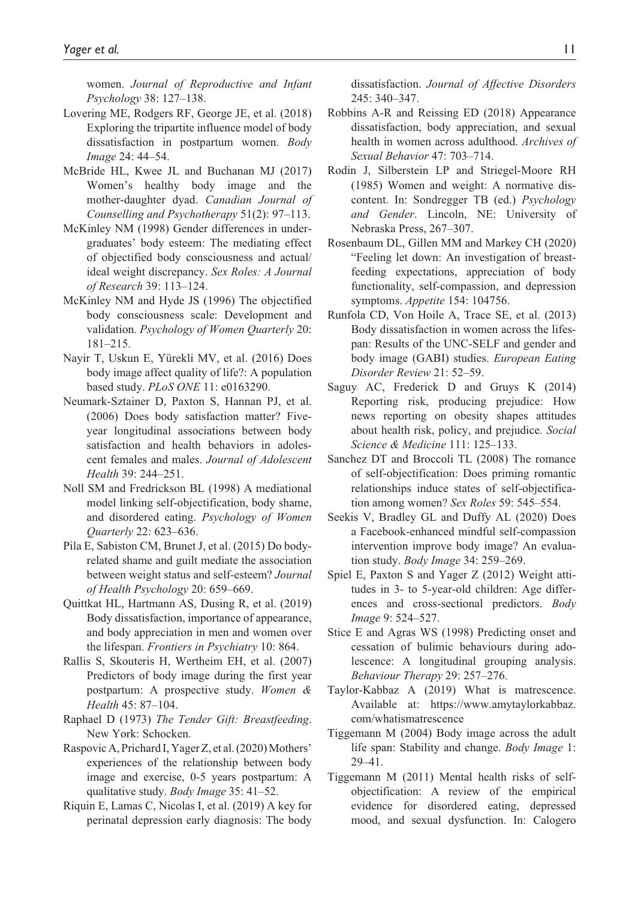women. *Journal of Reproductive and Infant Psychology* 38: 127–138.

- Lovering ME, Rodgers RF, George JE, et al. (2018) Exploring the tripartite influence model of body dissatisfaction in postpartum women. *Body Image* 24: 44–54.
- McBride HL, Kwee JL and Buchanan MJ (2017) Women's healthy body image and the mother-daughter dyad. *Canadian Journal of Counselling and Psychotherapy* 51(2): 97–113.
- McKinley NM (1998) Gender differences in undergraduates' body esteem: The mediating effect of objectified body consciousness and actual/ ideal weight discrepancy. *Sex Roles: A Journal of Research* 39: 113–124.
- McKinley NM and Hyde JS (1996) The objectified body consciousness scale: Development and validation. *Psychology of Women Quarterly* 20: 181–215.
- Nayir T, Uskun E, Yürekli MV, et al. (2016) Does body image affect quality of life?: A population based study. *PLoS ONE* 11: e0163290.
- Neumark-Sztainer D, Paxton S, Hannan PJ, et al. (2006) Does body satisfaction matter? Fiveyear longitudinal associations between body satisfaction and health behaviors in adolescent females and males. *Journal of Adolescent Health* 39: 244–251.
- Noll SM and Fredrickson BL (1998) A mediational model linking self-objectification, body shame, and disordered eating. *Psychology of Women Quarterly* 22: 623–636.
- Pila E, Sabiston CM, Brunet J, et al. (2015) Do bodyrelated shame and guilt mediate the association between weight status and self-esteem? *Journal of Health Psychology* 20: 659–669.
- Quittkat HL, Hartmann AS, Dusing R, et al. (2019) Body dissatisfaction, importance of appearance, and body appreciation in men and women over the lifespan. *Frontiers in Psychiatry* 10: 864.
- Rallis S, Skouteris H, Wertheim EH, et al. (2007) Predictors of body image during the first year postpartum: A prospective study. *Women & Health* 45: 87–104.
- Raphael D (1973) *The Tender Gift: Breastfeeding*. New York: Schocken.
- Raspovic A, Prichard I, Yager Z, et al. (2020) Mothers' experiences of the relationship between body image and exercise, 0-5 years postpartum: A qualitative study. *Body Image* 35: 41–52.
- Riquin E, Lamas C, Nicolas I, et al. (2019) A key for perinatal depression early diagnosis: The body

dissatisfaction. *Journal of Affective Disorders* 245: 340–347.

- Robbins A-R and Reissing ED (2018) Appearance dissatisfaction, body appreciation, and sexual health in women across adulthood. *Archives of Sexual Behavior* 47: 703–714.
- Rodin J, Silberstein LP and Striegel-Moore RH (1985) Women and weight: A normative discontent. In: Sondregger TB (ed.) *Psychology and Gender*. Lincoln, NE: University of Nebraska Press, 267–307.
- Rosenbaum DL, Gillen MM and Markey CH (2020) "Feeling let down: An investigation of breastfeeding expectations, appreciation of body functionality, self-compassion, and depression symptoms. *Appetite* 154: 104756.
- Runfola CD, Von Hoile A, Trace SE, et al. (2013) Body dissatisfaction in women across the lifespan: Results of the UNC-SELF and gender and body image (GABI) studies. *European Eating Disorder Review* 21: 52–59.
- Saguy AC, Frederick D and Gruys K (2014) Reporting risk, producing prejudice: How news reporting on obesity shapes attitudes about health risk, policy, and prejudice. *Social Science & Medicine* 111: 125–133.
- Sanchez DT and Broccoli TL (2008) The romance of self-objectification: Does priming romantic relationships induce states of self-objectification among women? *Sex Roles* 59: 545–554.
- Seekis V, Bradley GL and Duffy AL (2020) Does a Facebook-enhanced mindful self-compassion intervention improve body image? An evaluation study. *Body Image* 34: 259–269.
- Spiel E, Paxton S and Yager Z (2012) Weight attitudes in 3- to 5-year-old children: Age differences and cross-sectional predictors. *Body Image* 9: 524–527.
- Stice E and Agras WS (1998) Predicting onset and cessation of bulimic behaviours during adolescence: A longitudinal grouping analysis. *Behaviour Therapy* 29: 257–276.
- Taylor-Kabbaz A (2019) What is matrescence. Available at: [https://www.amytaylorkabbaz.](https://www.amytaylorkabbaz.com/whatismatrescence) [com/whatismatrescence](https://www.amytaylorkabbaz.com/whatismatrescence)
- Tiggemann M (2004) Body image across the adult life span: Stability and change. *Body Image* 1: 29–41.
- Tiggemann M (2011) Mental health risks of selfobjectification: A review of the empirical evidence for disordered eating, depressed mood, and sexual dysfunction. In: Calogero